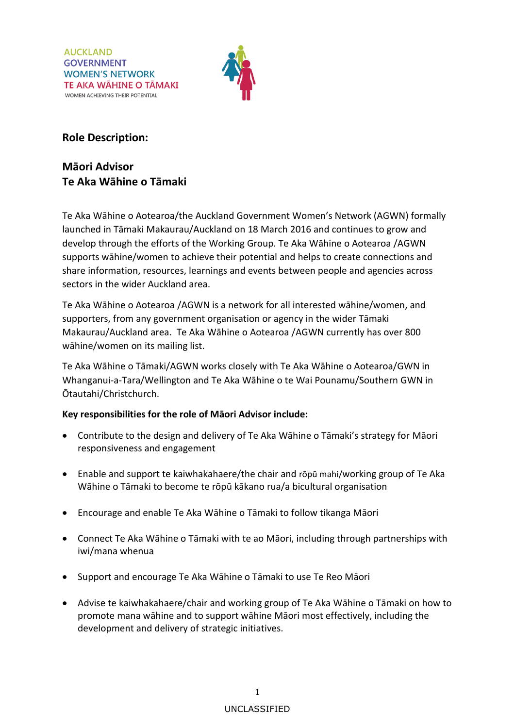

## **Role Description:**

## **Māori Advisor Te Aka Wāhine o Tāmaki**

Te Aka Wāhine o Aotearoa/the Auckland Government Women's Network (AGWN) formally launched in Tāmaki Makaurau/Auckland on 18 March 2016 and continues to grow and develop through the efforts of the [Working Group.](https://www.gwn.govt.nz/working-group#agwn-working-group) Te Aka Wāhine o Aotearoa /AGWN supports wāhine/women to achieve their potential and helps to create connections and share information, resources, learnings and events between people and agencies across sectors in the wider Auckland area.

Te Aka Wāhine o Aotearoa /AGWN is a network for all interested wāhine/women, and supporters, from any government organisation or agency in the wider Tāmaki Makaurau/Auckland area. Te Aka Wāhine o Aotearoa /AGWN currently has over 800 wāhine/women on its mailing list.

Te Aka Wāhine o Tāmaki/AGWN works closely with Te Aka Wāhine o Aotearoa/GWN in Whanganui-a-Tara/Wellington and Te Aka Wāhine o te Wai Pounamu/Southern GWN in Ōtautahi/Christchurch.

## **Key responsibilities for the role of Māori Advisor include:**

- Contribute to the design and delivery of Te Aka Wāhine o Tāmaki's strategy for Māori responsiveness and engagement
- Enable and support te kaiwhakahaere/the chair and rōpū mahi/working group of Te Aka Wāhine o Tāmaki to become te rōpū kākano rua/a bicultural organisation
- Encourage and enable Te Aka Wāhine o Tāmaki to follow tikanga Māori
- Connect Te Aka Wāhine o Tāmaki with te ao Māori, including through partnerships with iwi/mana whenua
- Support and encourage Te Aka Wāhine o Tāmaki to use Te Reo Māori
- Advise te kaiwhakahaere/chair and working group of Te Aka Wāhine o Tāmaki on how to promote mana wāhine and to support wāhine Māori most effectively, including the development and delivery of strategic initiatives.